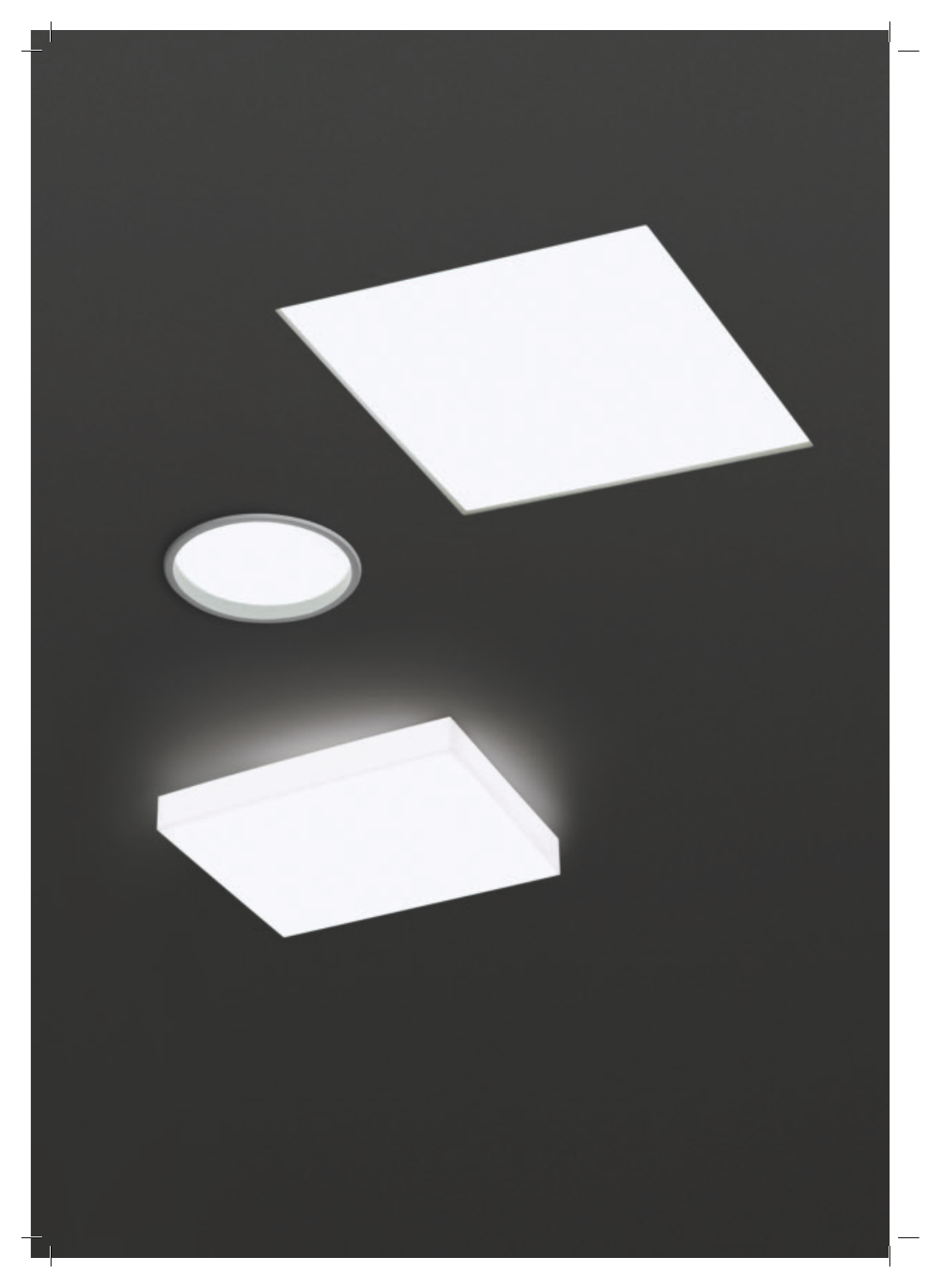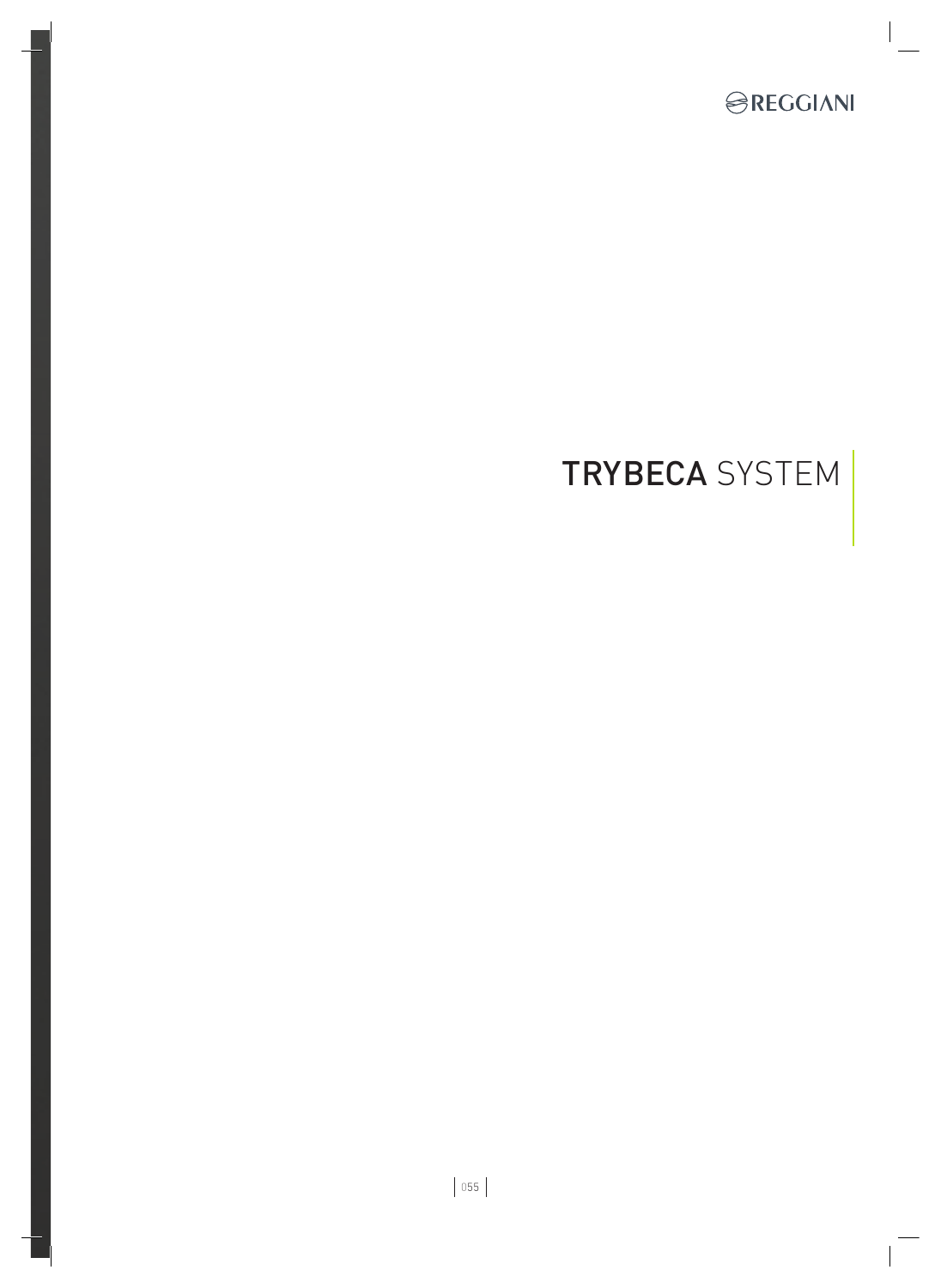

# TRYBECA SYSTEM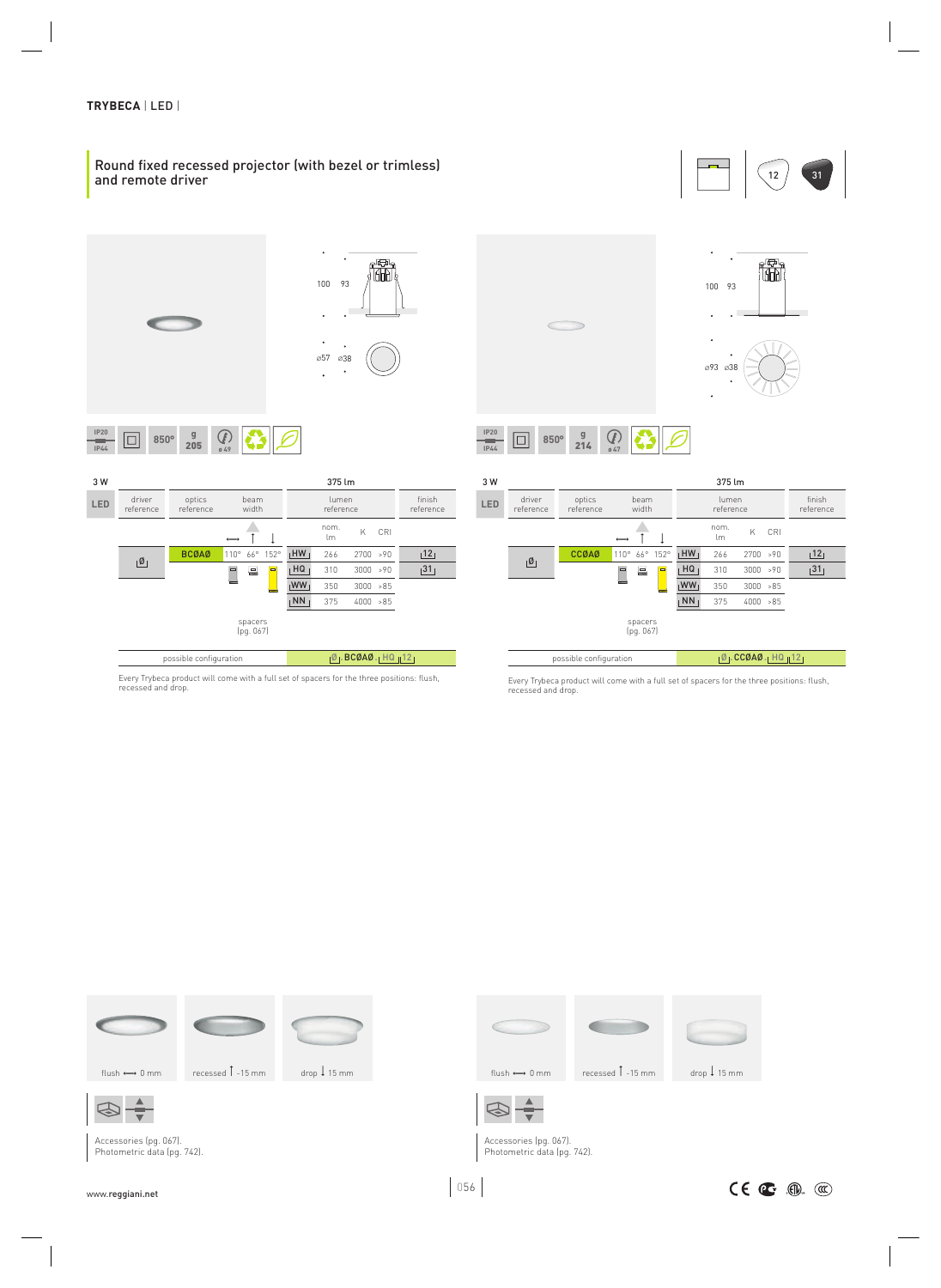Round fixed recessed projector (with bezel or trimless) and remote driver



 $\overline{a}$ 'in 100 93 ø57 ø38





Every Trybeca product will come with a full set of spacers for the three positions: flush, recessed and drop.





Every Trybeca product will come with a full set of spacers for the three positions: flush, recessed and drop.

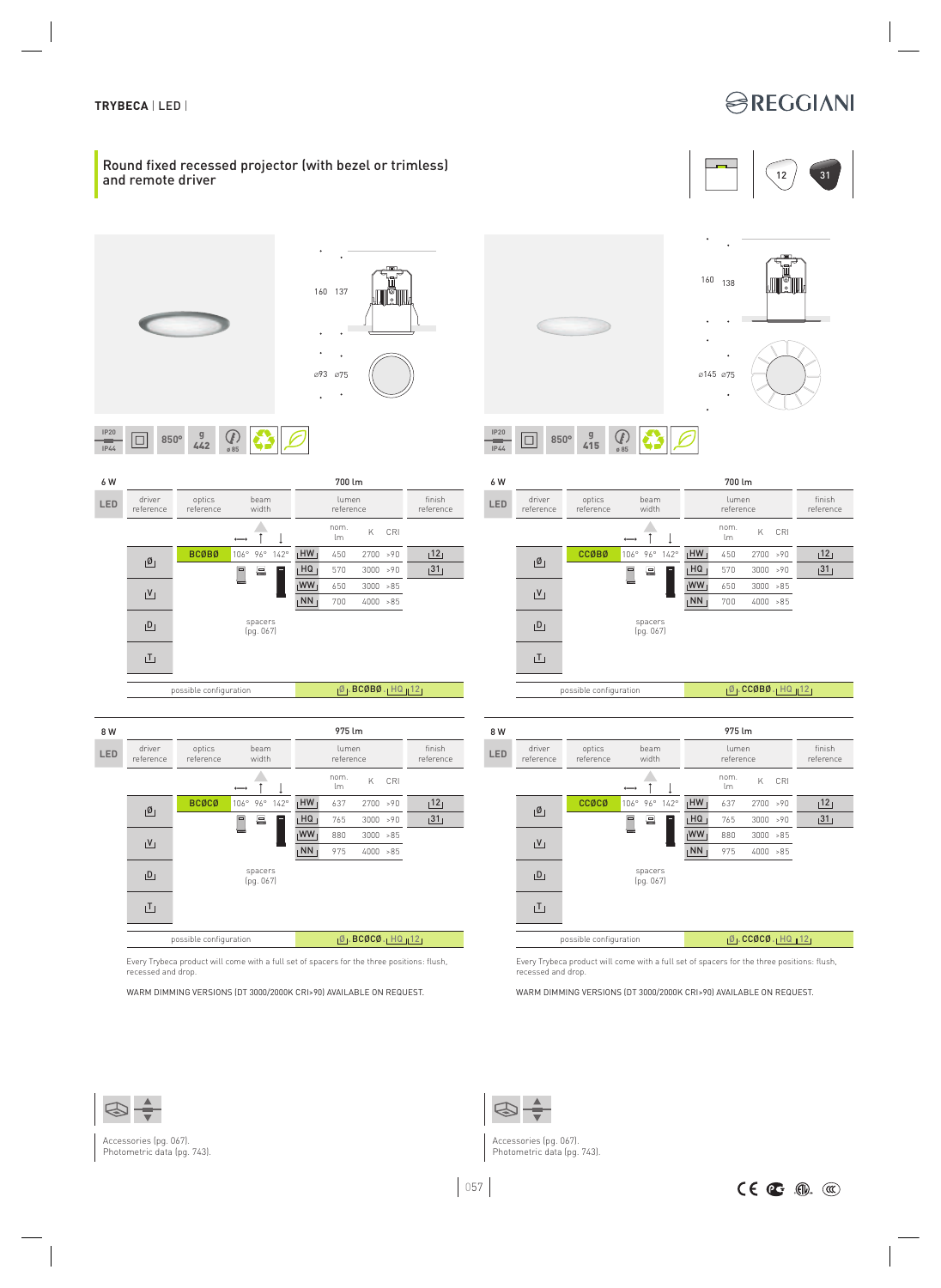## **BREGGIANI**

 $12$   $31$ 

finish reference

#### Round fixed recessed projector (with bezel or trimless) and remote driver









**IP44**



Every Trybeca product will come with a full set of spacers for the three positions: flush, recessed and drop.

WARM DIMMING VERSIONS (DT 3000/2000K CRI>90) AVAILABLE ON REQUEST.



Every Trybeca product will come with a full set of spacers for the three positions: flush, recessed and drop.

WARM DIMMING VERSIONS (DT 3000/2000K CRI>90) AVAILABLE ON REQUEST.



Accessories (pg. 067). Photometric data (pg. 743).



Accessories (pg. 067). Photometric data (pg. 743).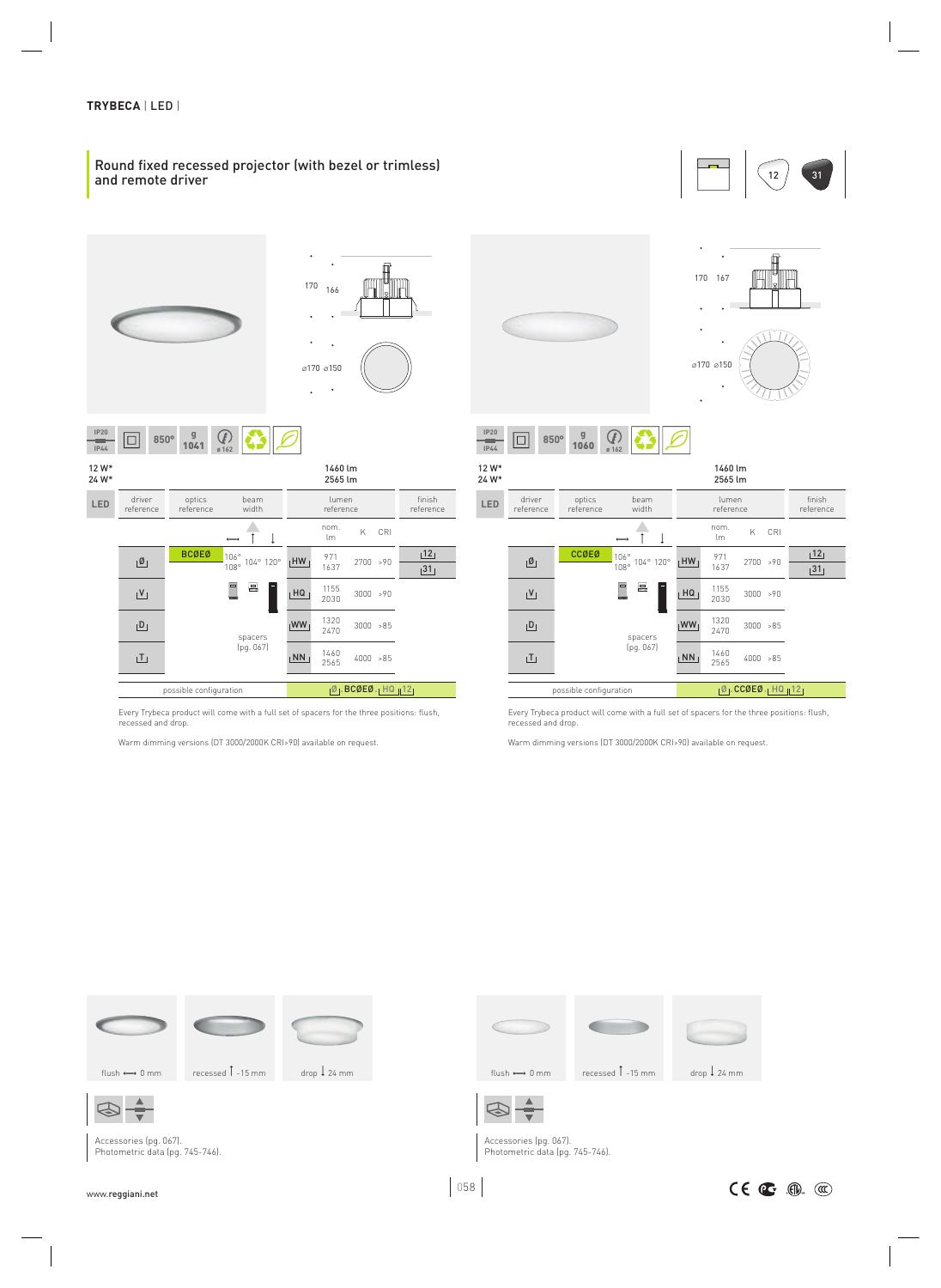**IP20**

回

#### Round fixed recessed projector (with bezel or trimless) and remote driver



170 167



 $850^{\circ}$   $\frac{9}{1041}$ 





Every Trybeca product will come with a full set of spacers for the three positions: flush, recessed and drop.

Warm dimming versions (DT 3000/2000K CRI>90) available on request.

|                                      |                          |                        |                                  |    | ø170 ø150          |                      |     |                     |
|--------------------------------------|--------------------------|------------------------|----------------------------------|----|--------------------|----------------------|-----|---------------------|
| <b>IP20</b><br>IP44<br>12W*<br>24 W* | $850^\circ$<br>$\Box$    | $\frac{9}{1060}$       | $\sqrt{ }$<br>$\overline{0}$ 162 |    | 1460 lm<br>2565 lm |                      |     |                     |
| LED                                  | driver<br>reference      | optics<br>reference    | beam<br>width                    |    | lumen<br>reference |                      |     | finish<br>reference |
|                                      |                          |                        |                                  |    | nom.<br>lm         | K                    | CRI |                     |
|                                      | ற                        | CCØEØ                  | 106°<br>$108^{\circ}$ 104° 120°  | HW | 971<br>1637        | 2700 > 90            |     | 12 <br> 31          |
|                                      | $\underline{\mathsf{V}}$ |                        | ⊟                                | HG | 1155<br>2030       | 3000 > 90            |     |                     |
|                                      | D                        |                        | spacers                          | WW | 1320<br>2470       | 3000 > 85            |     |                     |
|                                      | 山                        |                        | (pg. 067)                        | NN | 1460<br>2565       | 4000 > 85            |     |                     |
|                                      |                          | possible configuration |                                  |    |                    | $0$ . CCØEØ. HQ $12$ |     |                     |

Every Trybeca product will come with a full set of spacers for the three positions: flush, recessed and drop.

Warm dimming versions (DT 3000/2000K CRI>90) available on request.

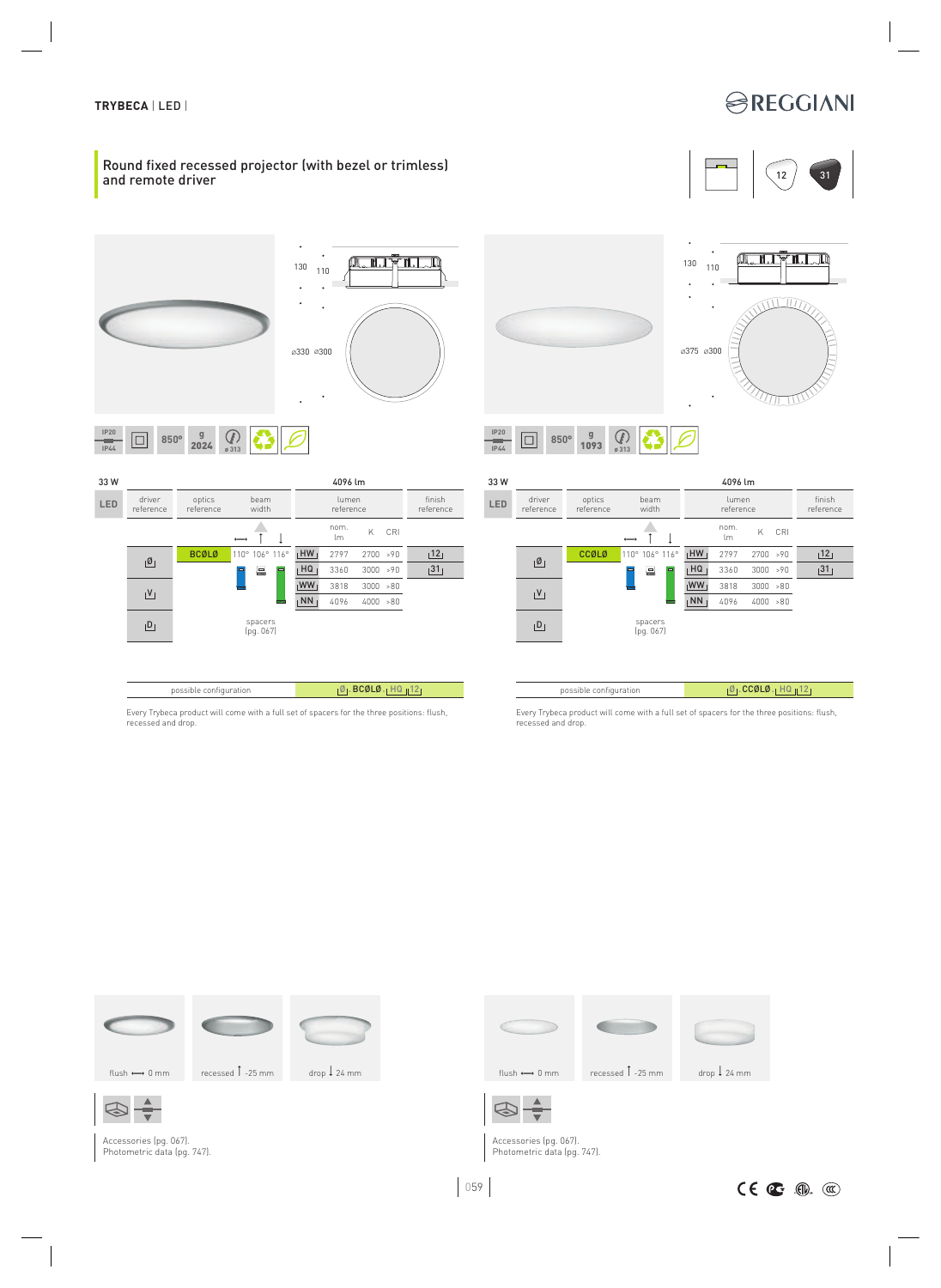### **AREGGIANI**

 $12$  31

finish reference

#### Round fixed recessed projector (with bezel or trimless) and remote driver







|                    |  |  |  |  |  |  | Every Trybeca product will come with a full set of spacers for the three positions: flush, |  |
|--------------------|--|--|--|--|--|--|--------------------------------------------------------------------------------------------|--|
| recessed and drop. |  |  |  |  |  |  |                                                                                            |  |

possible configuration **B D.** BCØLØ **.** HQ <sub>1</sub>12

Every Trybeca product will come with a full set of spacers for the three positions: flush, recessed and drop.

possible configuration **D D .CCØLØ .HQ**  $\frac{1}{2}$ 









 $\bigoplus$ 

Accessories (pg. 067). Photometric data (pg. 747).







Accessories (pg. 067). Photometric data (pg. 747).

 $|059|$ 

### $CE \times \mathbb{R}$  ( $\mathbb{R}$ )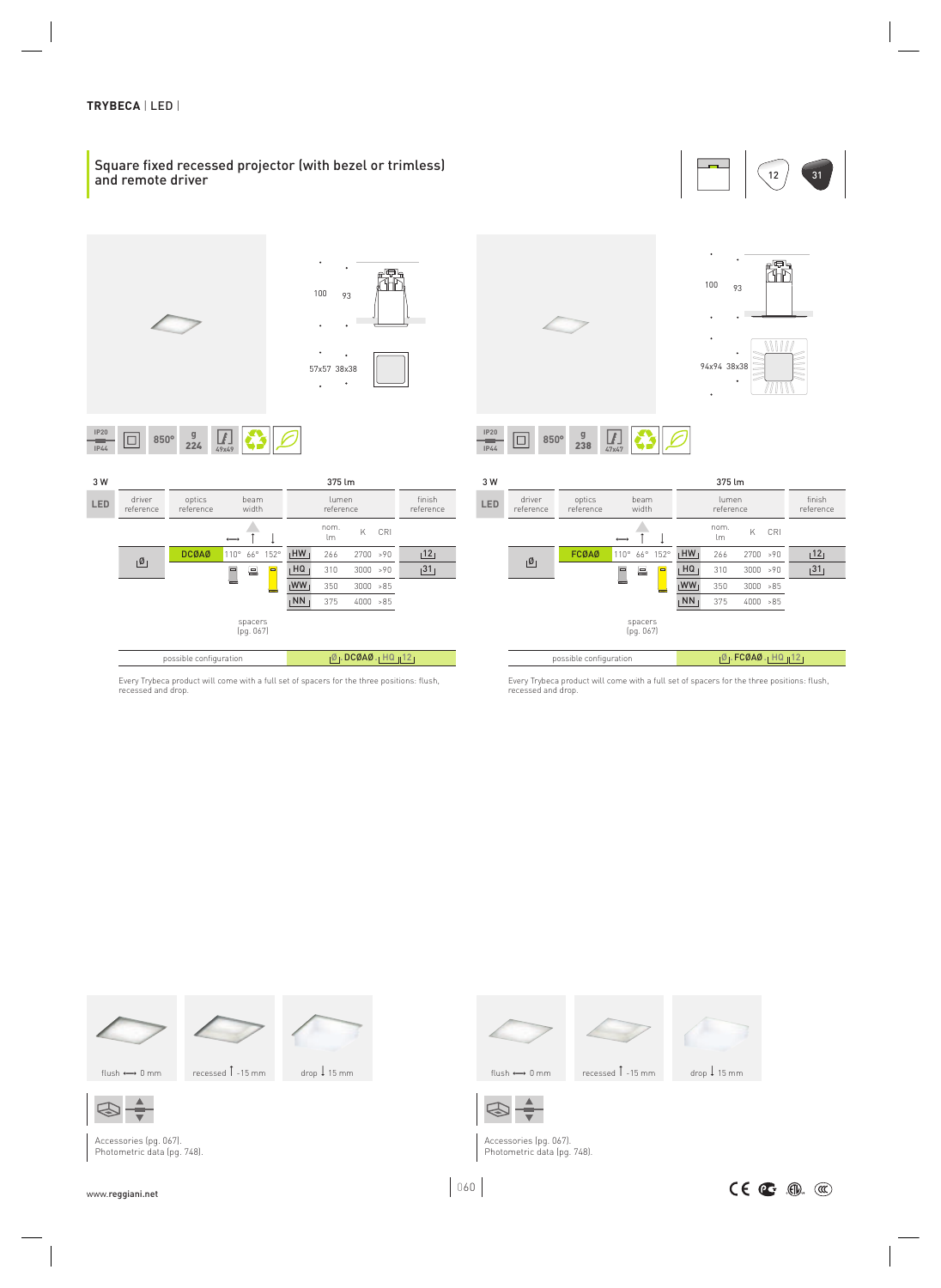Square fixed recessed projector (with bezel or trimless) and remote driver







Every Trybeca product will come with a full set of spacers for the three positions: flush, recessed and drop.

 $100 - 93$ 94x94 38x38 **850° <sup>g</sup> IP20**  $\boxed{\Box}$  $\sqrt{4}$ **IP44** 3 W 375 lm

12 31

ii



Every Trybeca product will come with a full set of spacers for the three positions: flush, recessed and drop.







 $\bigoplus$ 

Accessories (pg. 067). Photometric data (pg. 748).

flush  $\longleftrightarrow$  0 mm recessed 1 -15 mm drop 1 15 mm









flush  $\longleftrightarrow$  0 mm recessed 1 -15 mm drop 1 15 mm



Accessories (pg. 067). Photometric data (pg. 748).



 $CE \n\mathbb{C} \n\mathbb{R} \n\mathbb{C}$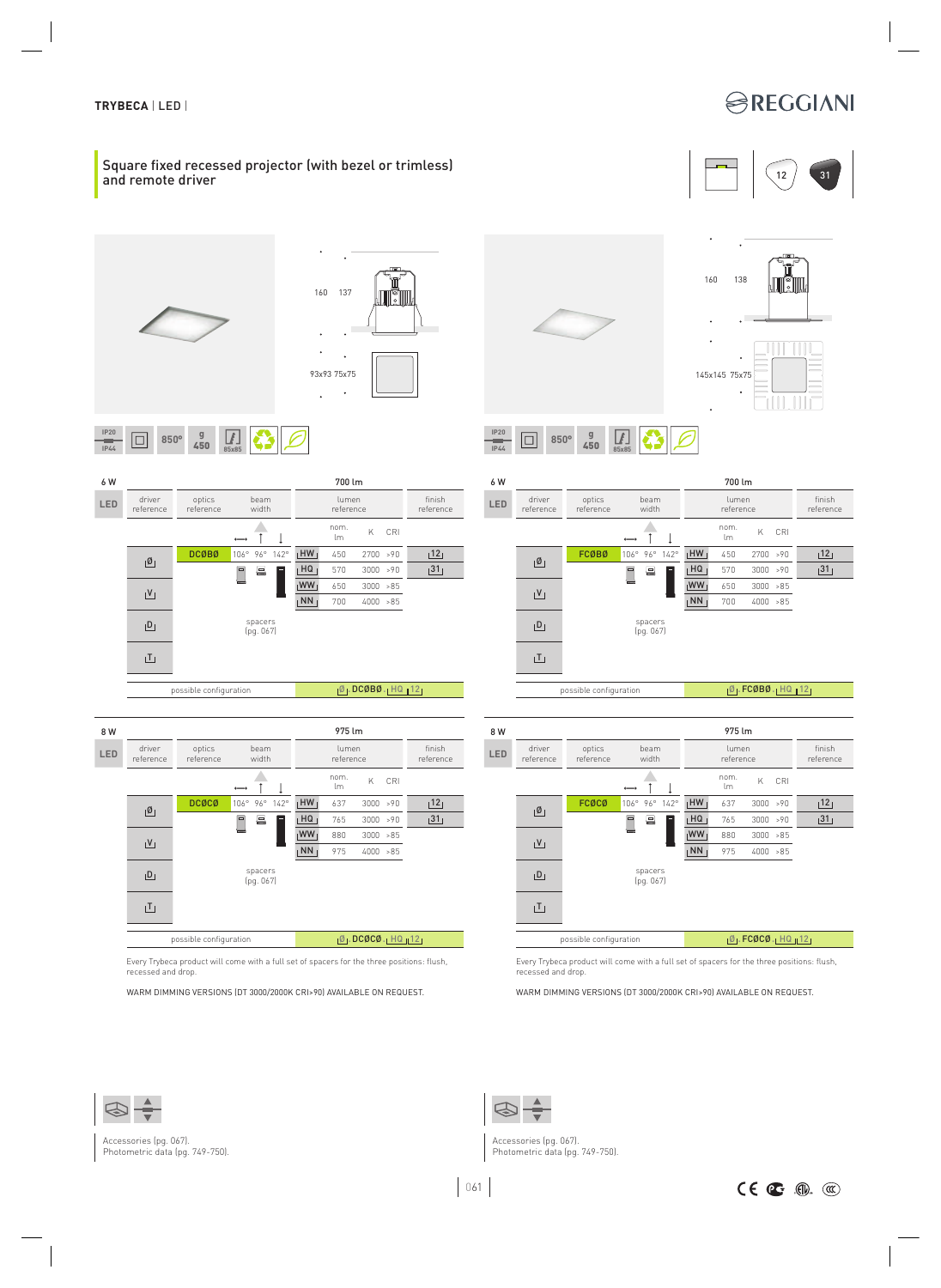# ेREGGI∆NI

 $12 / \sqrt{31}$ 

#### Square fixed recessed projector (with bezel or trimless) and remote driver









160 138 **THEFTING** 145x145 75x75 **IP20**  $\frac{9}{450}$   $\boxed{f}$  $\Box$ **850° <sup>g</sup> IP44**



8 W 975 lm **LED** driver reference optics reference beam width lumen reference finish reference nom.  $\frac{1}{\sqrt{1 + \frac{1}{\sqrt{1 + \frac{1}{\sqrt{1 + \frac{1}{\sqrt{1 + \frac{1}{\sqrt{1 + \frac{1}{\sqrt{1 + \frac{1}{\sqrt{1 + \frac{1}{\sqrt{1 + \frac{1}{\sqrt{1 + \frac{1}{\sqrt{1 + \frac{1}{\sqrt{1 + \frac{1}{\sqrt{1 + \frac{1}{\sqrt{1 + \frac{1}{\sqrt{1 + \frac{1}{\sqrt{1 + \frac{1}{\sqrt{1 + \frac{1}{\sqrt{1 + \frac{1}{\sqrt{1 + \frac{1}{\sqrt{1 + \frac{1}{\sqrt{1 + \frac{1}{\sqrt{1 + \frac{1}{\sqrt{1 +$ **DCØCØ**  $106° 96° 142°$   $\frac{HW}{100}$  637 3000 >90 12  $HQ_1$  765 3000 >90 31  $\underline{V}$  $|WW|$  880 3000 >85  $N$  975 4000  $\times$ 85  $D_1$  spacers spacers  $\left[0, 0.00, 0.00, 0.00, 0.00, 0.00, 0.00, 0.00, 0.00, 0.00, 0.00, 0.00, 0.00, 0.00, 0.00, 0.00, 0.00, 0.00, 0.00, 0.00, 0.00, 0.00, 0.00, 0.00, 0.00, 0.00, 0.00, 0.00, 0.00, 0.00, 0.00, 0.00, 0.00,$ (pg. 067)  $\sqcup$ possible configuration **Department OF** 12

Every Trybeca product will come with a full set of spacers for the three positions: flush, recessed and drop.

WARM DIMMING VERSIONS (DT 3000/2000K CRI>90) AVAILABLE ON REQUEST.



Every Trybeca product will come with a full set of spacers for the three positions: flush, recessed and drop.

WARM DIMMING VERSIONS (DT 3000/2000K CRI>90) AVAILABLE ON REQUEST.



Accessories (pg. 067). Photometric data (pg. 749-750).



Accessories (pg. 067). Photometric data (pg. 749-750).

 $\big|$  061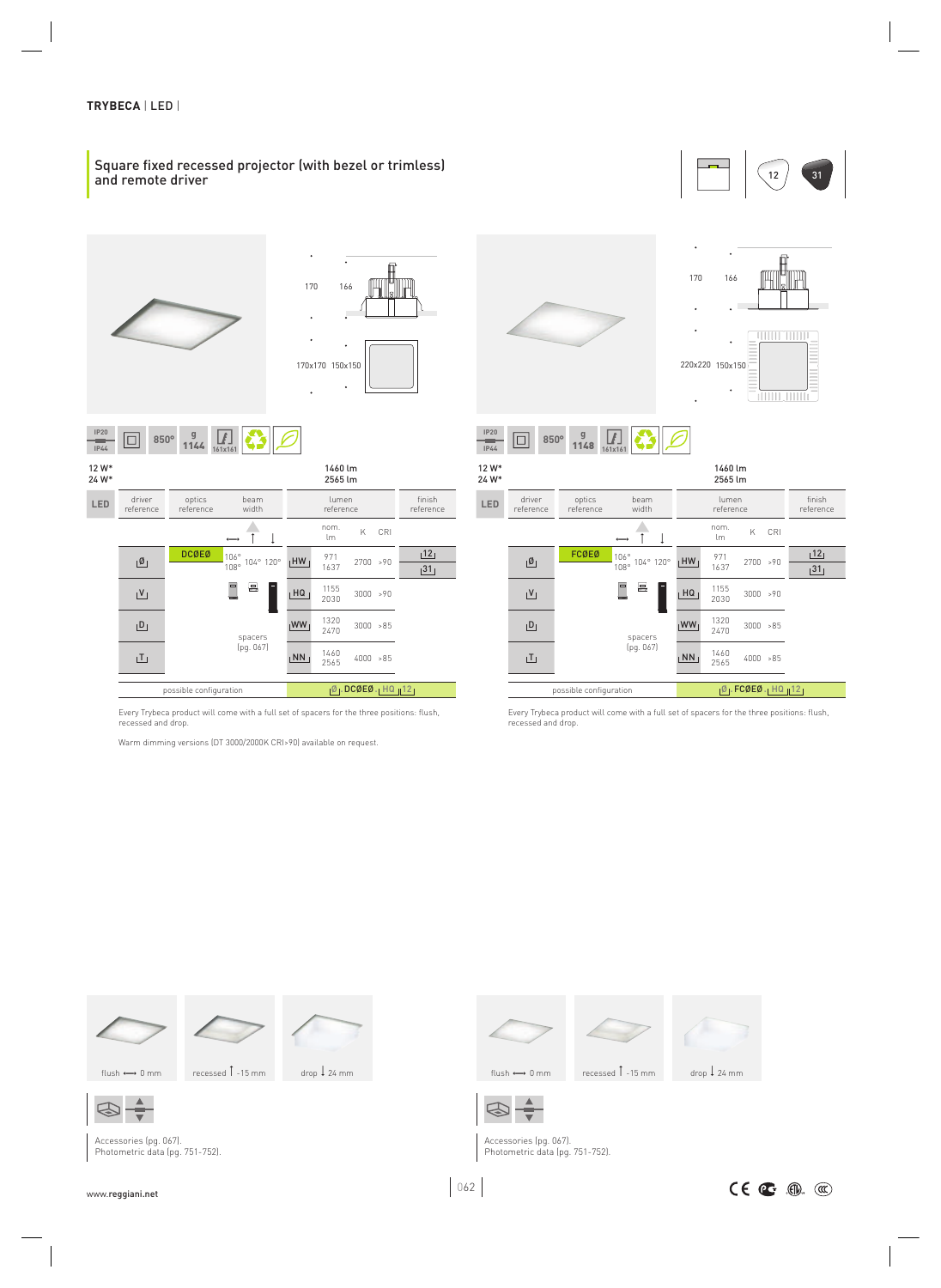**IP20 IP44**

回

#### Square fixed recessed projector (with bezel or trimless) and remote driver



**850° <sup>g</sup>**

 $\frac{9}{1144}$ 





Every Trybeca product will come with a full set of spacers for the three positions: flush, recessed and drop.

Warm dimming versions (DT 3000/2000K CRI>90) available on request.



12 31

Every Trybeca product will come with a full set of spacers for the three positions: flush, recessed and drop.







flush  $\leftrightarrow$  0 mm recessed  $\overline{1}$  -15 mm drop  $\downarrow$  24 mm flush  $\leftrightarrow$  0 mm recessed  $\overline{1}$  -15 mm drop  $\downarrow$  24 mm





Accessories (pg. 067). Photometric data (pg. 751-752).





Accessories (pg. 067). Photometric data (pg. 751-752).

 $\bigcirc$ 

 $CE \n\mathbb{C} \n\mathbb{R} \n\mathbb{C}$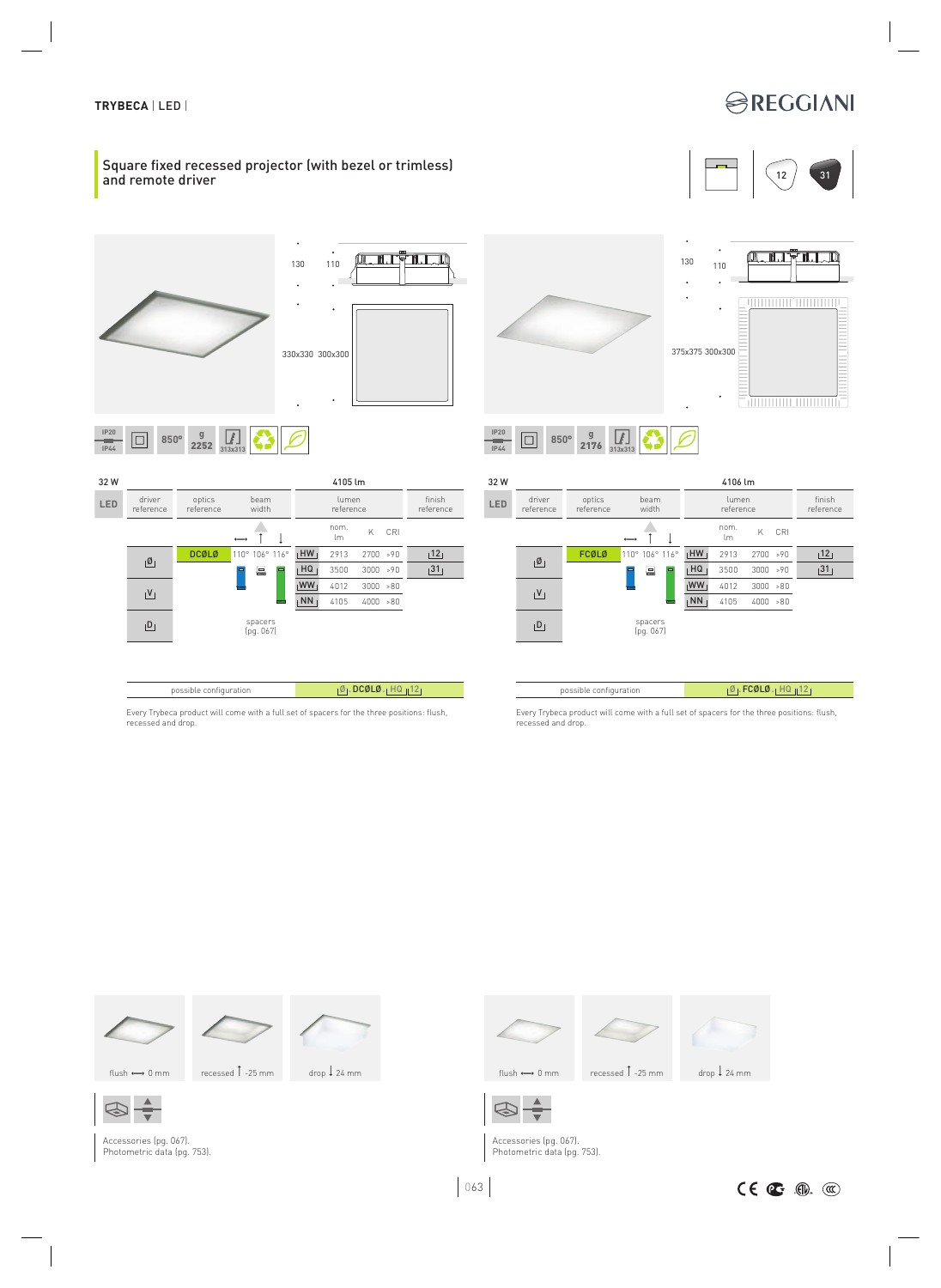## **AREGGIANI**

 $12$  31

#### Square fixed recessed projector (with bezel or trimless) and remote driver



01. IU 7 IU 10  $130 \t 110$  $\ddot{\phantom{0}}$ 375x375 300x300 <u>TITTI TITTI, TITTI TITTI T</u>  $\frac{9}{2176}$   $\sqrt{\frac{1}{313 \times 313}}$ **IP20**  $\boxed{\square}$ **850° <sup>g</sup>**



| 32W |                     |                     |                      |                    | 4106 lm    |           |                     |    |
|-----|---------------------|---------------------|----------------------|--------------------|------------|-----------|---------------------|----|
| LED | driver<br>reference | optics<br>reference | beam<br>width        | lumen<br>reference |            |           | finish<br>reference |    |
|     |                     |                     |                      |                    | nom.<br>lm | K         | CRI                 |    |
|     |                     | FCØLØ               | 110° 106° 116°       | $HW_1$             | 2913       | 2700 >90  |                     | 12 |
|     | ற                   |                     | 므<br>$\blacksquare$  | HQ                 | 3500       | 3000 > 90 |                     | 31 |
|     | $\mathsf{N}$        |                     |                      | <b>WW</b>          | 4012       | 3000 > 80 |                     |    |
|     |                     |                     |                      | <b>NN</b>          | 4105       | 4000 > 80 |                     |    |
|     | ம                   |                     | spacers<br>(pg. 067) |                    |            |           |                     |    |
|     |                     |                     |                      |                    |            |           |                     |    |

|                    | Every Trybeca product will come with a full set of spacers for the three positions: flush, |  |
|--------------------|--------------------------------------------------------------------------------------------|--|
|                    |                                                                                            |  |
| recessed and drop. |                                                                                            |  |

possible configuration **Department of the U .** LEQ 12

Every Trybeca product will come with a full set of spacers for the three positions: flush, recessed and drop.

possible configuration **D** . FCØLØ<sub></sub>. HQ <sub>1</sub>12









Accessories (pg. 067). Photometric data (pg. 753).







flush  $\leftrightarrow$  0 mm recessed  $\overline{1}$  -25 mm drop  $\downarrow$  24 mm recessed  $\overline{1}$  -25 mm drop  $\downarrow$  24 mm



**IP44**

Accessories (pg. 067). Photometric data (pg. 753).

 $|063|$ 

### $CE \times \mathbb{R}$  ( $\mathbb{R}$ )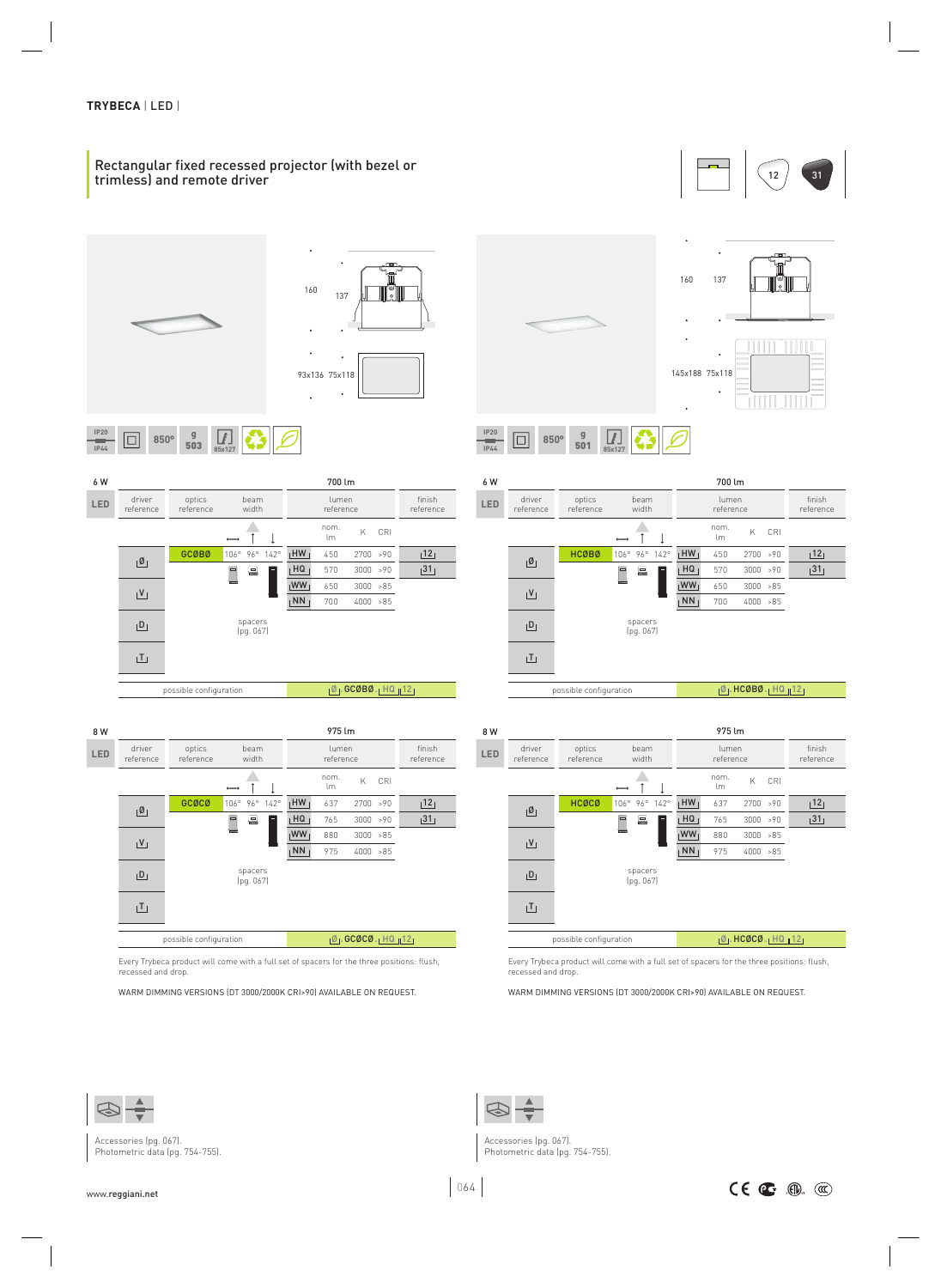#### Rectangular fixed recessed projector (with bezel or trimless) and remote driver









Every Trybeca product will come with a full set of spacers for the three positions: flush, recessed and drop.

WARM DIMMING VERSIONS (DT 3000/2000K CRI>90) AVAILABLE ON REQUEST.



12 31



| 8 W |                     |                        |                      |                 | 975 lm                |                           |     |                     |
|-----|---------------------|------------------------|----------------------|-----------------|-----------------------|---------------------------|-----|---------------------|
| LED | driver<br>reference | optics<br>reference    | beam<br>width        |                 | lumen<br>reference    |                           |     | finish<br>reference |
|     |                     |                        |                      |                 | nom.<br>$\mathsf{Im}$ | K                         | CRI |                     |
|     | ற                   | <b>HCØCØ</b>           | 106° 96° 142°        | HW <sub>1</sub> | 637                   | 2700                      | >90 | 12                  |
|     |                     |                        | ▣<br>⊫               | HQ              | 765                   | 3000 > 90                 |     | 31                  |
|     | $\mathsf{N}$        |                        |                      | WW <sub>1</sub> | 880                   | 3000 > 85                 |     |                     |
|     |                     |                        |                      | <b>NN</b>       | 975                   | 4000 > 85                 |     |                     |
|     | ம                   |                        | spacers<br>[pq. 067] |                 |                       |                           |     |                     |
|     | 山                   |                        |                      |                 |                       |                           |     |                     |
|     |                     | possible configuration |                      |                 |                       | $ 0 $ . HCØCØ.   HQ    12 |     |                     |
|     |                     |                        |                      |                 |                       |                           |     |                     |

Every Trybeca product will come with a full set of spacers for the three positions: flush, recessed and drop.

WARM DIMMING VERSIONS (DT 3000/2000K CRI>90) AVAILABLE ON REQUEST.



Accessories (pg. 067). Photometric data (pg. 754-755).



Accessories (pg. 067). Photometric data (pg. 754-755).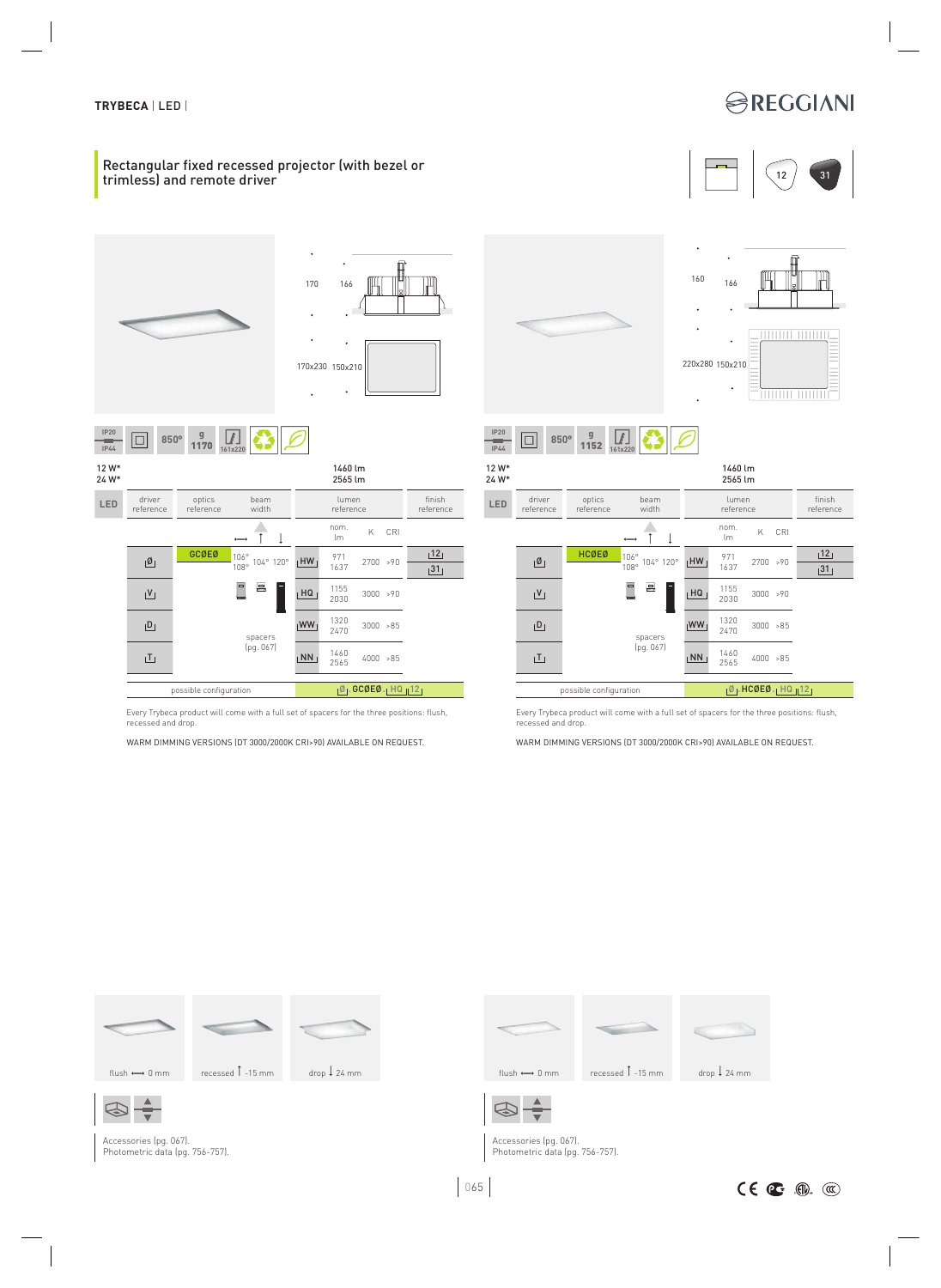# **AREGGIANI**

 $12$ 

#### Rectangular fixed recessed projector (with bezel or trimless) and remote driver



Every Trybeca product will come with a full set of spacers for the three positions: flush, recessed and drop.

WARM DIMMING VERSIONS (DT 3000/2000K CRI>90) AVAILABLE ON REQUEST.

 $160$   $166$ **THEFT THEFT** 220x280 150x210 **IP20 850° <sup>g</sup>**  $\sqrt{151}$  $\boxed{\Box}$ **IP44** 1460 lm 12 W\*  $24 W^*$ 2565 lm lumen finish optics beam LED driver<br>
reference reference reference width reference nom.  $\overline{1}$   $\overline{1}$   $\overline{1}$   $\overline{1}$   $\overline{1}$   $\overline{1}$   $\overline{1}$   $\overline{1}$   $\overline{1}$   $\overline{1}$   $\overline{1}$   $\overline{1}$   $\overline{1}$   $\overline{1}$   $\overline{1}$   $\overline{1}$   $\overline{1}$   $\overline{1}$   $\overline{1}$   $\overline{1}$   $\overline{1}$   $\overline{1}$   $\overline{1}$   $\overline{1}$   $\overline{$  $12$  $\overline{0}$  HCØEØ  $106^\circ$  $\frac{106^{\circ}}{108^{\circ}}$  104° 120°  $\frac{[HW]}{1637}$ <sup>1637</sup> <sup>2700</sup> >90  $31$  $\frac{1155}{2030}$  3000 >90  $V_{\rm J}$   $\begin{bmatrix} 0 \\ 0 \end{bmatrix}$   $\begin{bmatrix} \frac{\mu}{2} \\ \frac{\mu}{2} \end{bmatrix}$   $\begin{bmatrix} HQ_{\rm J} \\ 2026 \end{bmatrix}$  $\frac{1320}{2470}$  3000 >85  $\mathbf{D}_{\mathbf{D}}$   $\mathbf{WW}_{\mathbf{D}}$   $\mathbf{WW}_{\mathbf{D}}$   $\mathbf{1320}$ spacers (pg. 067) <sup>2565</sup> <sup>4000</sup> >85  $\mathbf{I}$   $\mathbf{I}$   $\mathbf{I}$   $\mathbf{I}$   $\mathbf{I}$   $\mathbf{I}$   $\mathbf{I}$   $\mathbf{I}$   $\mathbf{I}$   $\mathbf{I}$   $\mathbf{I}$   $\mathbf{I}$   $\mathbf{I}$   $\mathbf{I}$   $\mathbf{I}$   $\mathbf{I}$   $\mathbf{I}$   $\mathbf{I}$   $\mathbf{I}$   $\mathbf{I}$   $\mathbf{I}$   $\mathbf{I}$   $\mathbf{I}$   $\mathbf{I}$   $\mathbf{$ 

possible configuration **D . 12 . 12** *M M M M M M M M M M M M M M M M M M M M M M M M M M M M M M* 

Every Trybeca product will come with a full set of spacers for the three positions: flush, recessed and drop.

WARM DIMMING VERSIONS (DT 3000/2000K CRI>90) AVAILABLE ON REQUEST.



Accessories (pg. 067). Photometric data (pg. 756-757).





Accessories (pg. 067). Photometric data (pg. 756-757).

065

### $CE \oplus \oplus \infty$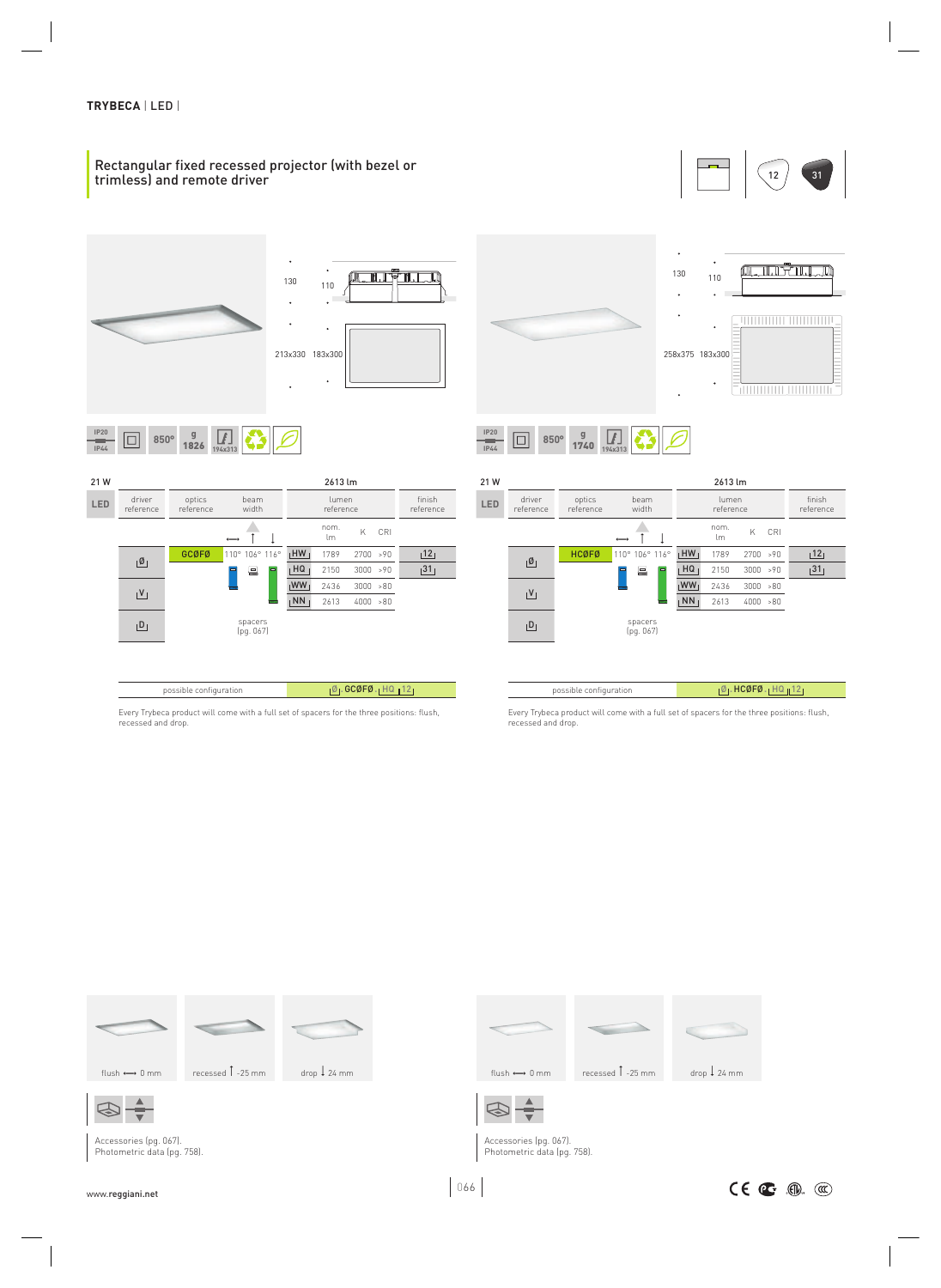#### Rectangular fixed recessed projector (with bezel or trimless) and remote driver



AL ILIT ILI JI

<u> III III III III III III III II</u>

<u>Timming minim</u>

 $130$  110

 $\overline{a}$ 

258x375 183x300





**IP20 IP44** **850° <sup>g</sup>**

 $\boxed{\square}$ 

 $\frac{9}{1740}$   $\prod_{194\times313}$ 





| 21 W |                     |                     |                      |                | 2613 lm            |           |     |                     |
|------|---------------------|---------------------|----------------------|----------------|--------------------|-----------|-----|---------------------|
| LED  | driver<br>reference | optics<br>reference | beam<br>width        |                | lumen<br>reference |           |     | finish<br>reference |
|      |                     |                     |                      |                | nom.<br>lm         | K         | CRI |                     |
|      | $\sqrt{0}$          | <b>HCØFØ</b>        | 110° 106° 116°       | HW             | 1789               | 2700 > 90 |     | 12                  |
|      |                     |                     | 므<br>▭               | HQ             | 2150               | 3000 > 90 |     | 31                  |
|      | V                   |                     |                      | <b>WW</b>      | 2436               | 3000 > 80 |     |                     |
|      |                     |                     |                      | N <sub>N</sub> | 2613               | 4000 > 80 |     |                     |
|      | D                   |                     | spacers<br>(pg. 067) |                |                    |           |     |                     |

|  | possible configuration |  |  |  |  |  | $\sqrt{9}$ $\cdot$ GCØFØ $\cdot$ HQ $\sqrt{12}$ |  |  |
|--|------------------------|--|--|--|--|--|-------------------------------------------------|--|--|
|  |                        |  |  |  |  |  |                                                 |  |  |

Every Trybeca product will come with a full set of spacers for the three positions: flush, recessed and drop.

Every Trybeca product will come with a full set of spacers for the three positions: flush, recessed and drop.

possible configuration **Definition Definition M ACØFØ . HQ**  $\parallel$  **12**